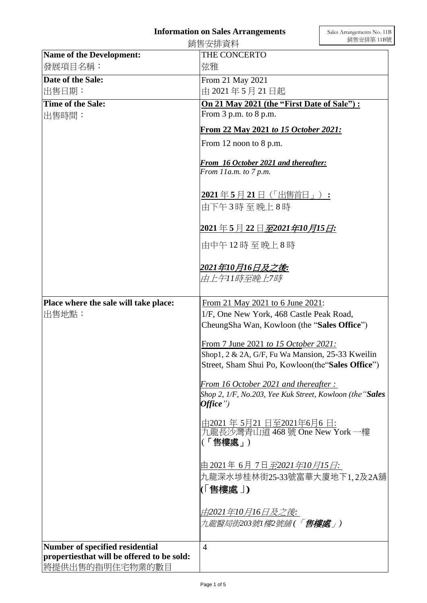## **Information on Sales Arrangements**

|                                                                | 銷售安排資料                                                                                                | 銷售安排第11B號 |
|----------------------------------------------------------------|-------------------------------------------------------------------------------------------------------|-----------|
| <b>Name of the Development:</b>                                | THE CONCERTO                                                                                          |           |
| 發展項目名稱:                                                        | 弦雅                                                                                                    |           |
| Date of the Sale:                                              | From 21 May 2021                                                                                      |           |
| 出售日期:                                                          | 由 2021年5月21日起                                                                                         |           |
| Time of the Sale:                                              | On 21 May 2021 (the "First Date of Sale"):                                                            |           |
| 出售時間:                                                          | From $3$ p.m. to $8$ p.m.<br>From 22 May 2021 to 15 October 2021:                                     |           |
|                                                                |                                                                                                       |           |
|                                                                | From 12 noon to 8 p.m.                                                                                |           |
|                                                                | From 16 October 2021 and thereafter:<br>From 11a.m. to 7 p.m.                                         |           |
|                                                                |                                                                                                       |           |
|                                                                | 2021年5月21日(「出售首日」):<br>由下午3時至晚上8時                                                                     |           |
|                                                                | <u> 2021 年 5 月 22 日<i>至</i>2<i>021 年10 月15 日</i>:</u>                                                 |           |
|                                                                | 由中午12時至晚上8時                                                                                           |           |
|                                                                | 2021年10月16日及之後:<br>由上午11時至晩上7時                                                                        |           |
| Place where the sale will take place:                          | From 21 May 2021 to 6 June 2021:                                                                      |           |
| 出售地點:                                                          | 1/F, One New York, 468 Castle Peak Road,                                                              |           |
|                                                                | CheungSha Wan, Kowloon (the "Sales Office")                                                           |           |
|                                                                | From 7 June 2021 to 15 October 2021:                                                                  |           |
|                                                                | Shop1, 2 & 2A, G/F, Fu Wa Mansion, 25-33 Kweilin<br>Street, Sham Shui Po, Kowloon(the "Sales Office") |           |
|                                                                | From 16 October 2021 and thereafter:                                                                  |           |
|                                                                | Shop 2, 1/F, No.203, Yee Kuk Street, Kowloon (the "Sales<br>Office")                                  |           |
|                                                                | <u>由2021 年 5月21 日至2021年6月6 日:</u><br>九龍長沙灣青山道 468 號 One New York 一樓<br>(「售樓處」)                        |           |
|                                                                | 由 2021年 6月 7日 <i>至</i> 2 <i>021年10月15日</i> :<br>九龍深水埗桂林街25-33號富華大廈地下1,2及2A舖<br>(「售樓處 」)               |           |
|                                                                | <i>由</i> 2021 <i>年10月16日及之後</i> :<br>九龍醫局街203號1 <i>樓</i> 2號舖(「 <b>售樓處</b> 」)                          |           |
| Number of specified residential                                | $\overline{4}$                                                                                        |           |
| propertiesthat will be offered to be sold:<br> 將提供出售的指明住宅物業的數目 |                                                                                                       |           |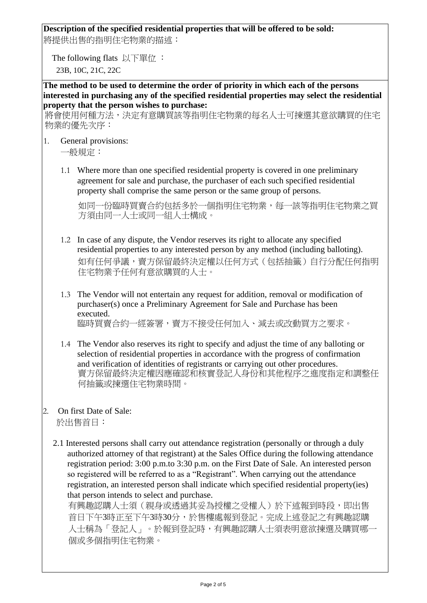### **Description of the specified residential properties that will be offered to be sold:**

將提供出售的指明住宅物業的描述:

The following flats 以下單位 : 23B, 10C, 21C, 22C

**The method to be used to determine the order of priority in which each of the persons interested in purchasing any of the specified residential properties may select the residential property that the person wishes to purchase:**

將會使用何種方法,決定有意購買該等指明住宅物業的每名人士可揀選其意欲購買的住宅 物業的優先次序:

1. General provisions:

1.1 Where more than one specified residential property is covered in one preliminary agreement for sale and purchase, the purchaser of each such specified residential property shall comprise the same person or the same group of persons.

如同一份臨時買賣合約包括多於一個指明住宅物業,每一該等指明住宅物業之買 方須由同一人士或同一組人士構成。

- 1.2 In case of any dispute, the Vendor reserves its right to allocate any specified residential properties to any interested person by any method (including balloting). 如有任何爭議,賣方保留最終決定權以任何方式(包括抽籤)自行分配任何指明 住宅物業予任何有意欲購買的人士。
- 1.3 The Vendor will not entertain any request for addition, removal or modification of purchaser(s) once a Preliminary Agreement for Sale and Purchase has been executed. 臨時買賣合約一經簽署,賣方不接受任何加入、減去或改動買方之要求。
- 1.4 The Vendor also reserves its right to specify and adjust the time of any balloting or selection of residential properties in accordance with the progress of confirmation and verification of identities of registrants or carrying out other procedures. 賣方保留最終決定權因應確認和核實登記人身份和其他程序之進度指定和調整任 何抽籤或揀選住宅物業時間。
- 2. On first Date of Sale:

於出售首日:

2.1 Interested persons shall carry out attendance registration (personally or through a duly authorized attorney of that registrant) at the Sales Office during the following attendance registration period: 3:00 p.m.to 3:30 p.m. on the First Date of Sale. An interested person so registered will be referred to as a "Registrant". When carrying out the attendance registration, an interested person shall indicate which specified residential property(ies) that person intends to select and purchase.

有興趣認購人士須(親身或透過其妥為授權之受權人)於下述報到時段,即出售 首日下午3時正至下午3時30分,於售樓處報到登記。完成上述登記之有興趣認購 人士稱為「登記人」。於報到登記時,有興趣認購人士須表明意欲揀選及購買哪一 個或多個指明住宅物業。

一般規定: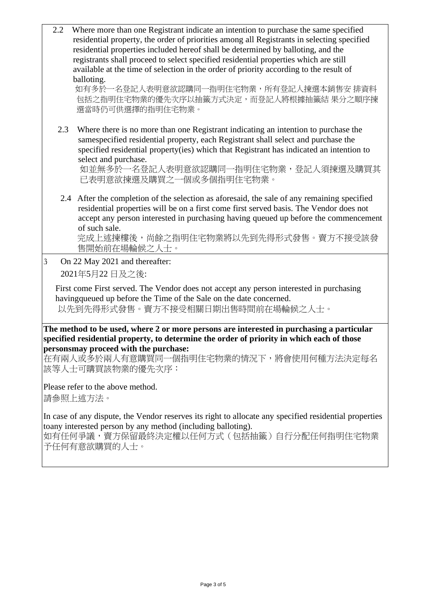2.2 Where more than one Registrant indicate an intention to purchase the same specified residential property, the order of priorities among all Registrants in selecting specified residential properties included hereof shall be determined by balloting, and the registrants shall proceed to select specified residential properties which are still available at the time of selection in the order of priority according to the result of balloting.

如有多於一名登記人表明意欲認購同一指明住宅物業,所有登記人揀選本銷售安 排資料 包括之指明住宅物業的優先次序以抽籤方式決定,而登記人將根據抽籤結 果分之順序揀 選當時仍可供選擇的指明住宅物業。

2.3 Where there is no more than one Registrant indicating an intention to purchase the samespecified residential property, each Registrant shall select and purchase the specified residential property(ies) which that Registrant has indicated an intention to select and purchase.

如並無多於一名登記人表明意欲認購同一指明住宅物業,登記人須揀選及購買其 已表明意欲揀選及購買之一個或多個指明住宅物業。

2.4 After the completion of the selection as aforesaid, the sale of any remaining specified residential properties will be on a first come first served basis. The Vendor does not accept any person interested in purchasing having queued up before the commencement of such sale.

完成上述揀樓後,尚餘之指明住宅物業將以先到先得形式發售。賣方不接受該發 售開始前在場輪候之人士。

3. On 22 May 2021 and thereafter: 2021年5月22 日及之後:

First come First served. The Vendor does not accept any person interested in purchasing havingqueued up before the Time of the Sale on the date concerned. 以先到先得形式發售。賣方不接受相關日期出售時間前在場輪候之人士。

#### **The method to be used, where 2 or more persons are interested in purchasing a particular specified residential property, to determine the order of priority in which each of those personsmay proceed with the purchase:**

在有兩人或多於兩人有意購買同一個指明住宅物業的情況下,將會使用何種方法決定每名 該等人士可購買該物業的優先次序:

Please refer to the above method.

請參照上述方法。

In case of any dispute, the Vendor reserves its right to allocate any specified residential properties toany interested person by any method (including balloting).

如有任何爭議,賣方保留最終決定權以任何方式(包括抽籤)自行分配任何指明住宅物業 予任何有意欲購買的人士。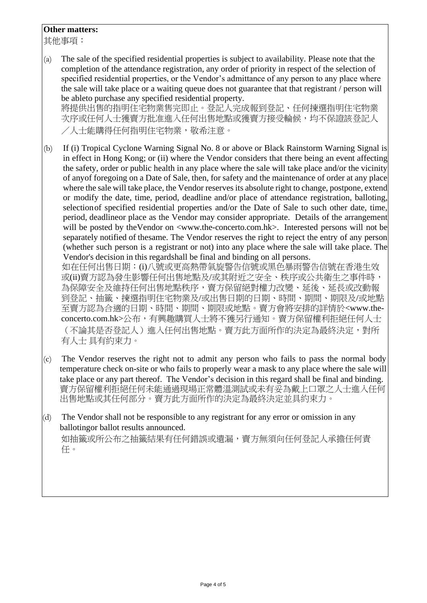#### **Other matters:**

其他事項:

(a) The sale of the specified residential properties is subject to availability. Please note that the completion of the attendance registration, any order of priority in respect of the selection of specified residential properties, or the Vendor's admittance of any person to any place where the sale will take place or a waiting queue does not guarantee that that registrant / person will be ableto purchase any specified residential property. 將提供出售的指明住宅物業售完即止。登記人完成報到登記、任何揀選指明住宅物業 次序或任何人士獲賣方批准進入任何出售地點或獲賣方接受輪候,均不保證該登記人

/人士能購得任何指明住宅物業,敬希注意。

(b) If (i) Tropical Cyclone Warning Signal No. 8 or above or Black Rainstorm Warning Signal is in effect in Hong Kong; or (ii) where the Vendor considers that there being an event affecting the safety, order or public health in any place where the sale will take place and/or the vicinity of anyof foregoing on a Date of Sale, then, for safety and the maintenance of order at any place where the sale will take place, the Vendor reserves its absolute right to change, postpone, extend or modify the date, time, period, deadline and/or place of attendance registration, balloting, selectionof specified residential properties and/or the Date of Sale to such other date, time, period, deadlineor place as the Vendor may consider appropriate. Details of the arrangement will be posted by the Vendor on  $\langle$ www.the-concerto.com.hk>. Interested persons will not be separately notified of thesame. The Vendor reserves the right to reject the entry of any person (whether such person is a registrant or not) into any place where the sale will take place. The Vendor's decision in this regardshall be final and binding on all persons.

如在任何出售日期:(i)八號或更高熱帶氣旋警告信號或黑色暴雨警告信號在香港生效 或(ii)賣方認為發生影響任何出售地點及/或其附近之安全、秩序或公共衛生之事件時, 為保障安全及維持任何出售地點秩序,賣方保留絕對權力改變、延後、延長或改動報 到登記、抽籤、揀選指明住宅物業及/或出售日期的日期、時間、期間、期限及/或地點 至賣方認為合適的日期、時間、期間、期限或地點。賣方會將安排的詳情於<www.theconcerto.com.hk>公布,有興趣購買人士將不獲另行通知。賣方保留權利拒絕任何人士 (不論其是否登記人)進入任何出售地點。賣方此方面所作的決定為最終決定,對所 有人士 具有約束力。

- (c) The Vendor reserves the right not to admit any person who fails to pass the normal body temperature check on-site or who fails to properly wear a mask to any place where the sale will take place or any part thereof. The Vendor's decision in this regard shall be final and binding. 賣方保留權利拒絕任何未能通過現場正常體溫測試或未有妥為戴上口罩之人士進入任何 出售地點或其任何部分。賣方此方面所作的決定為最終決定並具約束力。
- (d) The Vendor shall not be responsible to any registrant for any error or omission in any ballotingor ballot results announced.

如抽籤或所公布之抽籤結果有任何錯誤或遺漏,賣方無須向任何登記人承擔任何責 任。